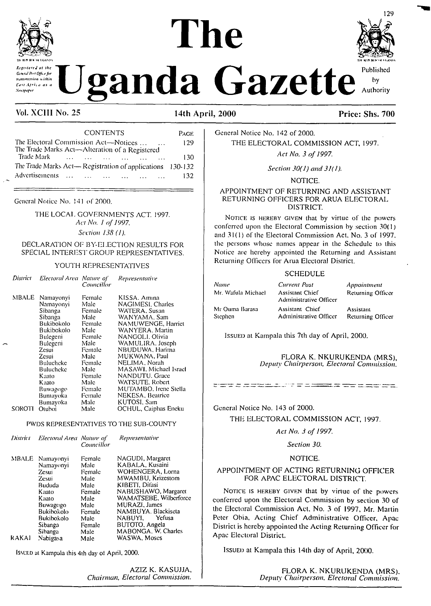# **The KIR >1 <sup>h</sup> IGAM>\**



# *Xenditurge check during* **the condition of**  $\mathbf{U}$  **ganda Gazette<sup> Published</sup>**

#### Vol. XCIII No. 25 14th April, 2000 Price: Shs. 700

| <b>CONTENTS</b>                                                                                                    | PAGE |
|--------------------------------------------------------------------------------------------------------------------|------|
| The Electoral Commission Act—Notices<br><b>Contract Contract</b><br>The Trade Marks Act-Alteration of a Registered | 129  |
| $\sim$ $\sim$ $\sim$                                                                                               | 130  |
| The Trade Marks Act-Registration of applications 130-132                                                           |      |
| Advertisements                                                                                                     | 132  |

General Notice No. 141 of 2000.

THE LOCAL GOVERNMENTS ACT. 1997. Act No. 1 of 1997. *Section 138 (1).*

#### DECLARATION OF BY-ELECTION RESULTS FOR SPECIAL INTEREST GROUP REPRESENTATIVES.

#### YOUTH REPRESENTATIVES

| District | Electoral Area Nature of                                                                                                                                                                           | <i>Councillor</i>                                                                                                                                      | Representative                                                                                                                                                                                                                                                                                                                                    |
|----------|----------------------------------------------------------------------------------------------------------------------------------------------------------------------------------------------------|--------------------------------------------------------------------------------------------------------------------------------------------------------|---------------------------------------------------------------------------------------------------------------------------------------------------------------------------------------------------------------------------------------------------------------------------------------------------------------------------------------------------|
| MBALE    | Namayonyi<br>Namayonyi<br>Sibanga<br>Sibanga<br>Bukibokolo<br>Bukibokolo<br>Bulegeni<br>Bulegeni<br>Zesui<br>Zesui<br>Bulucheke<br>Bulucheke<br>Kaato<br>Kaato<br>Buwagogo<br>Bumayoka<br>Bumayoka | Female<br>Male<br>Female<br>Male<br>Female<br>Male<br>Female<br>Male<br>Female<br>Male<br>Female<br>Male<br>Female<br>Male<br>Female<br>Female<br>Male | KISSA. Amına<br><b>NAGIMESI</b> , Charles<br>WATERA. Susan<br>WANYAMA, Sam<br>NAMUWENGE, Harriet<br>WANYERA, Martin<br>NANGOLI. Olivia<br>WAMULIRA. Joseph<br>NBUDUWA, Harima<br>MUKWANA. Paul<br>NELIMA. Norah<br>MASAWI. Michael Israel<br><b>NANDUTU.</b> Grace<br>WATSUTE, Robert<br>MUTAMBO, Irene Stella<br>NEKESA, Beatrice<br>KUTOSI, Sam |
| SOROTI   | Otuboi                                                                                                                                                                                             | Male                                                                                                                                                   | OCHUL, Caiphas Eneku                                                                                                                                                                                                                                                                                                                              |

#### PWDS REPRESENTATIVES TO THE SUB-COUNTY

|                    | Councillor     | Representative                      |
|--------------------|----------------|-------------------------------------|
| MBALE<br>Namayonyi | Female<br>Male | NAGUDI, Margaret<br>KABALA, Kusaini |
| Zesui              | Female         | WOHENGERA, Lorna                    |
| Zesui              | Male           | MWAMBU, Krizestom                   |
| Bududa             | Male           | KIBETI, Difasi                      |
| Kaato              | Female         | NABUSHAWO, Margaret                 |
| Kaato              | Male           | WAMATSEBE, Wilberforce              |
| Buwagogo           | Male           | MURAZI, James                       |
| Bukibokolo         | Female         | NAMBUYA, Blackiseta                 |
| Bukibokolo         | Male           | NABUYI.<br>Yefusa                   |
| Sibanga            | Female         | BUTOTO, Angela                      |
| Sibanga            | Male           | MABONGA, W. Charles                 |
| Nabigasa           | Male           | WASWA, Moses                        |
|                    | Namayonyi      | District - Electoral Area Nature of |

Issued at Kampala this 4ih day ol April. 2000.

AZIZ K. KASUJJA. *Chairman, Electoral Commission.*



General Notice No. 142 of 2000. THE ELECTORAL COMMISSION ACT, 1997. *Act No. 3 of 1997.*

*Section 30(1) and 31(1).*

NOTICE.

#### APPOINTMENT OF RETURNING AND ASSISTANT RETURNING OFFICERS FOR ARUA ELECTORAL DISTRICT.

NOTICE IS HEREBY GIVEN that by virtue of the powers conferred upon the Electoral Commission by section 30(1) and 31(1) of the Electoral Commission Act. No. 3 of 1997. the persons whose names appear in the Schedule to this Notice are hereby appointed the Returning and Assistant Returning Officers for Arua Electoral District.

#### **SCHEDULE**

*Name* Mr. Wafula Michael Mr Ouma Barasa Stephen

*Current Post* Assistant Chief Administrative Officer Assistant Chief Administrative Officer *Appointment* Returning Officer Assistant

Returning Officer

Issued at Kampala this 7th day of April, 2000.

FLORA K. NKURUKENDA (MRS), *Deputy Chairperson, Electoral Commission.*

General Notice No. 143 of 2000.

THE ELECTORAL COMMISSION ACT, 1997.

<u>there a more point a computation only the state of the state of the state of the state of the state of the state of the state of the state of the state of the state of the state of the state of the state of the state of t</u>

*Act No. 3 of 1997.*

*Section 30.*

#### NOTICE.

#### APPOINTMENT OF ACTING RETURNING OFFICER FOR APAC ELECTORAL DISTRICT.

NOTICE IS HEREBY GIVEN that by virtue of the powers conferred upon the Electoral Commission by section 30 of the Electoral Commission Act, No. 3 of 1997, Mr. Martin Peter Obia, Acting Chief Administrative Officer, Apac District is hereby appointed the Acting Returning Officer for Apac Electoral District.

Issued at Kampala this 14th day of April, 2000.

FLORA K. NKURUKENDA (MRS). *Deputy Chairperson, Electoral Commission.*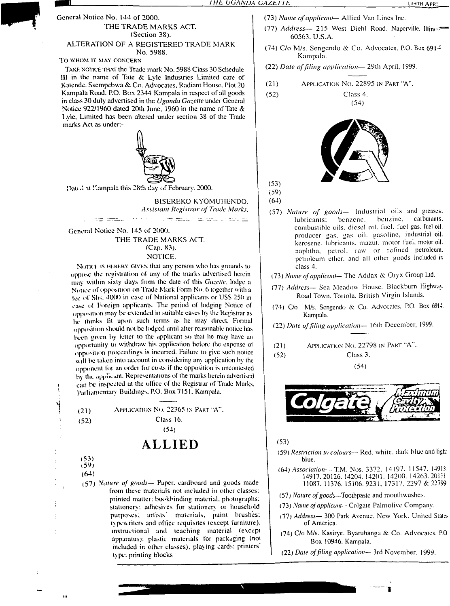#### To WHOM IT MAY CONCERN

**STOP** 

Take notice that the Trade mark No. 5988 Class 30 Schedule HI in the name of Tate & Lyle Industries Limited care of Katende. Ssempebwa & Co. Advocates. Radiant House. Plot 20 Kampala Road. P.O. Box 2344 Kampala in respect of all goods in class 30 duly advertised in the *Uganda Gazette* under General Notice 922/1960 dated 20th June, 1960 in the name of Tate & Lyle. Limited has been altered under section 38 of the Trade marks Act as undcr.-



Daltd at Kampala this 28th day of February, 2000.

BISEREKO KYOMUHENDO. *Assistant Registrar of Trade Marks.*

c<del>on m</del>ail and the contract

General Notice No. 145 of 2000. THE TRADE MARKS ACT. (Cap. 83). NOTICE.

Norict. is HEREBY GIVEN that any person who has grounds to oppose the registration of any of the marks advertised herein may within sixty days from the dale of this *Gazelle,* lodge a Notice of opposition on Trade Mark Form No. 6 together with a fee of Shs. 4000 in case of National applicants or USS 250 in case of Foreign applicants. The period of lodging Notice of opposition may be extended in suitable casus by the Registrar as he thinks fit upon such terms as he may direct. Formal opposition should not be lodged until after reasonable notice has been given by letter to the applicant so that he may have an opportunity to withdraw his application before the expense of opposition proceedings is incurred. Failure to give such notice will be taken into account in considering any application by the opponent for an order for costs if the opposition is uncontested by the applicant. Representations of the marks herein advertised can be inspected at the office of the Registrar of Trade Marks. Parliamentary Buildings, P.O. Box 7151. Kampala.

(21) Application No. 22365 in Part "A". (52) Class 16.

(54)

## **ALLIED**

(53) (59)

(64)

(57) *future of gauds—* Paper, cardboard and goods made from these materials not included in other classes: printed matter; bookbinding material, photographs; stationery: adhesives for stationery or household purposes; artists' materials, paint brushes: typewriters and office requisites (except furniture), instructional and leaching material (except apparatus): plastic materials for packaging (not included in other classes), playing cards, printers type: printing blocks

- (73)*Name ofapplicant* Allied Van Lincs Inc.
- (77) *Address—* <sup>215</sup> West Diehl Road. Naperville. Illino:"" 60563. U.S.A.
- (74) C/o M/s. Sengendo & Co. Advocates, P.O. Box  $691 -$ Kampala.
- (22) *Date offiling application—* 29th April, 1999.
- $(21)$  Application No. 22895 in Part "A".

(52) Class 4.



(54)

(53) (59)

(64)

- (57) *Nature of goods—* Industrial oils and greases: lubricants: benzene. benzine. carburants. combustible oils, diesel oil. fuel, fuel gas. fuel oil. producer gas. gas oil. gasoline, industrial oil. kerosene, lubricants, mazut, motor fuel, motor oil. naphtha, petrol, raw or refined petroleum, petroleum ether, and all other goods included in class 4.
- (73) *Name ofapplicant* The Addax & Oryx Group Ltd.
- (77) *Address—* Sea Meadow House. Blackburn Highwax. Road Town. Tortola, British Virgin Islands.
- (74) C/o M/s. Scngendo & Co. Advocates, P.O. Box 6914 Kampala.
- (22) *Dale offiling application—* 16th December, 1999.
- (21) APPLICATION NO. 22798 IN PART "A".
- (52) Class 3.

(54)



(53)

- (59) *Restriction to colours—* Red. while, dark blue and ligh: blue.
- (64) *Association—*T.M. Nos. 3372. 14197. 11547. 1491? 14917.20126. 14204. 14201. 14200. 14263.20131 11087. 11376. 15106. 9231, 17317. 2297 & 22799
- (57) *Nature ofgoods—Toothpaste* and mouthwashes.
- (73) *Name ofapplicant—* Colgate Palmolive Company.
- (77) *Address—* 300 Park Avenue. New York. United State? of America.
- (74) C/o M/s. Kasirye. Byaruhanga & Co. Advocates. P.O Box 10946, Kampala.

V

(22) *Date offiling application—* 3rd November. 1999.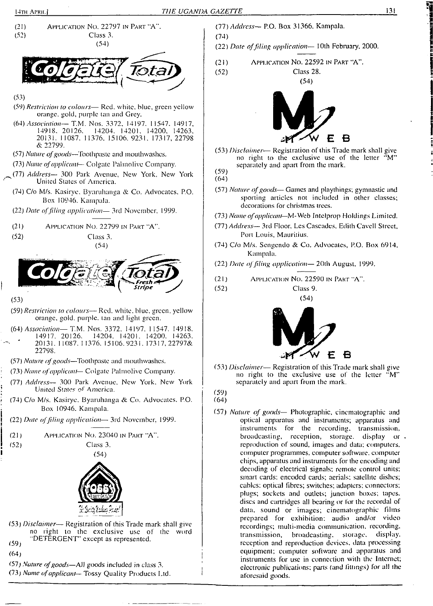(74)





no right io the exclusive use of the word "DETERGENT" except as represented.  $(59)$ 

 $(64)$ 

(57) *Nature ofgoods—*All goods included in class 3. ,

(73) *Name ofapplicant—* Tossy Quality Products Ltd. <sup>I</sup>

(77) *Address—* P.O. Box 31366. Kampala.

(22) *Date offding application—* 10th February, 2000.

(21) Application No. 22592 in Part "A".





(53) *Disclaimer*— Registration of this Trade mark shall give no right to (he exclusive use of the letter "M" separately and apart from the mark.

- (64)
- (57) *Nature ofgoods—* Games and playthings; gymnastic and sporting articles not included in other classes; decorations for christmas trees.
- (73) *Name ofapplicant—*M-Web Intelprop Holdings Limited.
- (77) *Address—* 3rd Floor, Les Cascades, Edith Cavcll Street, Port Louis, Mauritius.
- (74) C/o M/s. Sengendo & Co. Advocates, P.O. Box 6914. Kampala.
- (22) *Date offiling application—* 20th August. 1999.
- (21) Application No. 22590 in Part "A".

(52) Class 9.  $(54)$ 



(53) *Disclaimer—* Registration of this Trade mark shall give no right to the exclusive use of the letter "M" separately and apart from the mark.

(59) (64)

(57) *Nature of goods—* Photographic, cinematographic and optical apparatus and instruments; apparatus and instruments for the recording, transmission, broadcasting, reception, storage, display or reproduction of sound, images and data; computers, computer programmes, computer software, computer chips, apparatus and instruments for lhe encoding and decoding of electrical signals; remote control units; smart cards; encoded cards; aerials; satellite dishes; cables: optical fibres; switches; adapters; connectors; plugs; sockets and outlets; junction boxes; tapes, discs and cartridges all bearing or for the recordal of data, sound or images; cinematographic films prepared for exhibition; audio and/or video recordings; multi-media communication, recording, transmission, broadcasting, storage, display, reception and reproduction devices, data processing equipment; computer software and apparatus and instruments for use in connection with the Internet; electronic publications: parts (and fillings) for all the aforesaid goods.

<sup>(59)</sup>